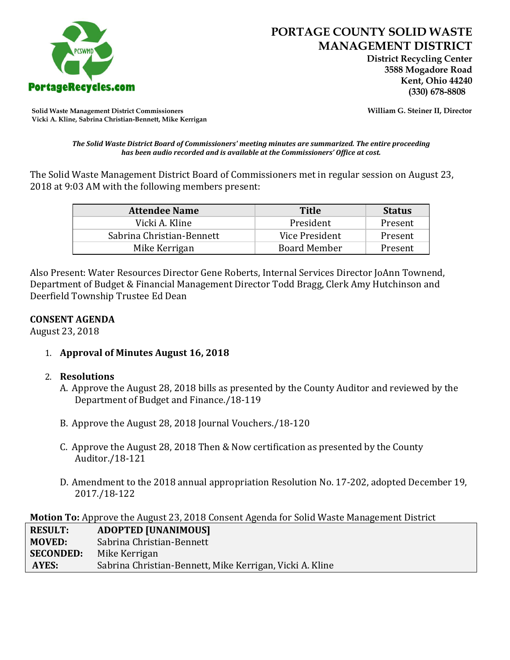

 **District Recycling Center 3588 Mogadore Road Kent, Ohio 44240**

**Solid Waste Management District Commissioners William G. Steiner II, Director Vicki A. Kline, Sabrina Christian-Bennett, Mike Kerrigan** 

*The Solid Waste District Board of Commissioners' meeting minutes are summarized. The entire proceeding has been audio recorded and is available at the Commissioners' Office at cost.*

The Solid Waste Management District Board of Commissioners met in regular session on August 23, 2018 at 9:03 AM with the following members present:

| <b>Attendee Name</b>      | <b>Title</b>        | <b>Status</b> |
|---------------------------|---------------------|---------------|
| Vicki A. Kline            | President           | Present       |
| Sabrina Christian-Bennett | Vice President      | Present       |
| Mike Kerrigan             | <b>Board Member</b> | Present       |

Also Present: Water Resources Director Gene Roberts, Internal Services Director JoAnn Townend, Department of Budget & Financial Management Director Todd Bragg, Clerk Amy Hutchinson and Deerfield Township Trustee Ed Dean

## **CONSENT AGENDA**

August 23, 2018

1. **Approval of Minutes August 16, 2018**

## 2. **Resolutions**

- A. Approve the August 28, 2018 bills as presented by the County Auditor and reviewed by the Department of Budget and Finance./18-119
- B. Approve the August 28, 2018 Journal Vouchers./18-120
- C. Approve the August 28, 2018 Then & Now certification as presented by the County Auditor./18-121
- D. Amendment to the 2018 annual appropriation Resolution No. 17-202, adopted December 19, 2017./18-122

**Motion To:** Approve the August 23, 2018 Consent Agenda for Solid Waste Management District

| <b>RESULT:</b>   | <b>ADOPTED [UNANIMOUS]</b>                               |
|------------------|----------------------------------------------------------|
| <b>MOVED:</b>    | Sabrina Christian-Bennett                                |
| <b>SECONDED:</b> | Mike Kerrigan                                            |
| AYES:            | Sabrina Christian-Bennett, Mike Kerrigan, Vicki A. Kline |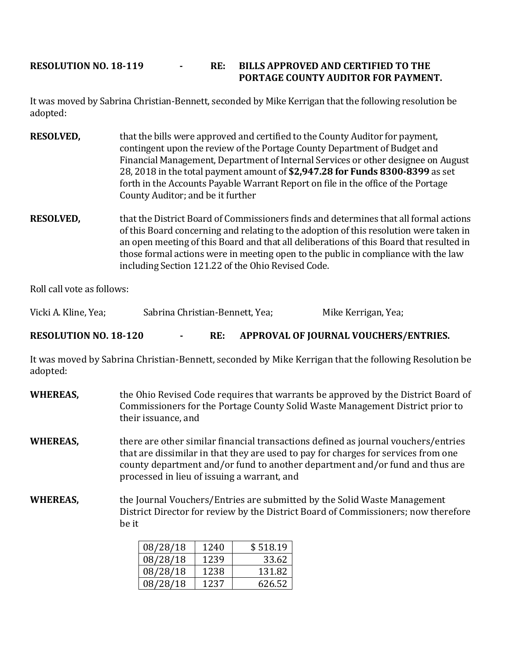## **RESOLUTION NO. 18-119 - RE: BILLS APPROVED AND CERTIFIED TO THE PORTAGE COUNTY AUDITOR FOR PAYMENT.**

It was moved by Sabrina Christian-Bennett, seconded by Mike Kerrigan that the following resolution be adopted:

- **RESOLVED,** that the bills were approved and certified to the County Auditor for payment, contingent upon the review of the Portage County Department of Budget and Financial Management, Department of Internal Services or other designee on August 28, 2018 in the total payment amount of **\$2,947.28 for Funds 8300-8399** as set forth in the Accounts Payable Warrant Report on file in the office of the Portage County Auditor; and be it further
- **RESOLVED,** that the District Board of Commissioners finds and determines that all formal actions of this Board concerning and relating to the adoption of this resolution were taken in an open meeting of this Board and that all deliberations of this Board that resulted in those formal actions were in meeting open to the public in compliance with the law including Section 121.22 of the Ohio Revised Code.

Roll call vote as follows:

Vicki A. Kline, Yea; Sabrina Christian-Bennett, Yea; Mike Kerrigan, Yea;

**RESOLUTION NO. 18-120 - RE: APPROVAL OF JOURNAL VOUCHERS/ENTRIES.**

It was moved by Sabrina Christian-Bennett, seconded by Mike Kerrigan that the following Resolution be adopted:

**WHEREAS,** the Ohio Revised Code requires that warrants be approved by the District Board of Commissioners for the Portage County Solid Waste Management District prior to their issuance, and **WHEREAS,** there are other similar financial transactions defined as journal vouchers/entries that are dissimilar in that they are used to pay for charges for services from one county department and/or fund to another department and/or fund and thus are processed in lieu of issuing a warrant, and **WHEREAS,** the Journal Vouchers/Entries are submitted by the Solid Waste Management District Director for review by the District Board of Commissioners; now therefore be it

| 08/28/18 | 1240 | \$518.19 |
|----------|------|----------|
| 08/28/18 | 1239 | 33.62    |
| 08/28/18 | 1238 | 131.82   |
| 08/28/18 | 1237 | 626.52   |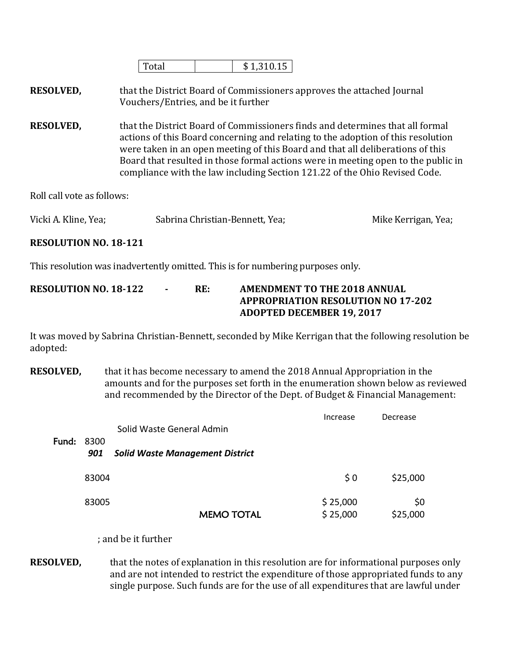|--|

**RESOLVED,** that the District Board of Commissioners approves the attached Journal Vouchers/Entries, and be it further

**RESOLVED,** that the District Board of Commissioners finds and determines that all formal actions of this Board concerning and relating to the adoption of this resolution were taken in an open meeting of this Board and that all deliberations of this Board that resulted in those formal actions were in meeting open to the public in compliance with the law including Section 121.22 of the Ohio Revised Code.

Roll call vote as follows:

| Vicki A. Kline, Yea; | Sabrina Christian-Bennett, Yea; | Mike Kerrigan, Yea; |
|----------------------|---------------------------------|---------------------|
|                      |                                 |                     |

## **RESOLUTION NO. 18-121**

This resolution was inadvertently omitted. This is for numbering purposes only.

| <b>RESOLUTION NO. 18-122</b> | $\sim$ | RE: | AMENDMENT TO THE 2018 ANNUAL              |
|------------------------------|--------|-----|-------------------------------------------|
|                              |        |     | <b>APPROPRIATION RESOLUTION NO 17-202</b> |
|                              |        |     | <b>ADOPTED DECEMBER 19, 2017</b>          |

It was moved by Sabrina Christian-Bennett, seconded by Mike Kerrigan that the following resolution be adopted:

**RESOLVED,** that it has become necessary to amend the 2018 Annual Appropriation in the amounts and for the purposes set forth in the enumeration shown below as reviewed and recommended by the Director of the Dept. of Budget & Financial Management:

|       |             | Solid Waste General Admin              | Increase             | Decrease        |
|-------|-------------|----------------------------------------|----------------------|-----------------|
| Fund: | 8300<br>901 | <b>Solid Waste Management District</b> |                      |                 |
|       | 83004       |                                        | $\frac{1}{2}$ 0      | \$25,000        |
|       | 83005       | <b>MEMO TOTAL</b>                      | \$25,000<br>\$25,000 | \$0<br>\$25,000 |

; and be it further

**RESOLVED,** that the notes of explanation in this resolution are for informational purposes only and are not intended to restrict the expenditure of those appropriated funds to any single purpose. Such funds are for the use of all expenditures that are lawful under